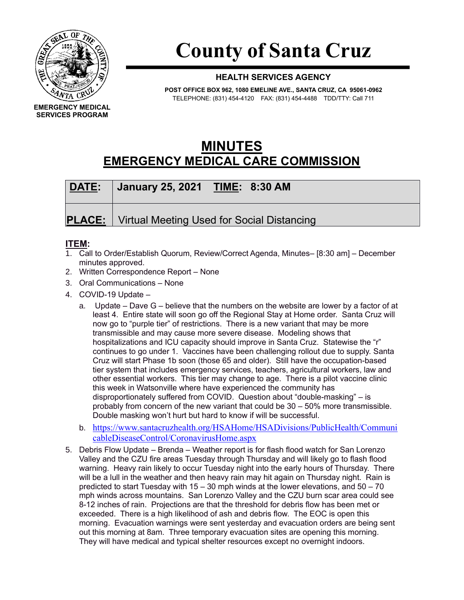

## **County of Santa Cruz**

## **HEALTH SERVICES AGENCY**

**POST OFFICE BOX 962, 1080 EMELINE AVE., SANTA CRUZ, CA 95061-0962** TELEPHONE: (831) 454-4120 FAX: (831) 454-4488 TDD/TTY: Call 711

## **MINUTES EMERGENCY MEDICAL CARE COMMISSION**

| DATE: | January 25, 2021 TIME: 8:30 AM                             |
|-------|------------------------------------------------------------|
|       | <b>PLACE:</b>   Virtual Meeting Used for Social Distancing |

## **ITEM:**

- 1. Call to Order/Establish Quorum, Review/Correct Agenda, Minutes– [8:30 am] December minutes approved.
- 2. Written Correspondence Report None
- 3. Oral Communications None
- 4. COVID-19 Update
	- a. Update Dave G believe that the numbers on the website are lower by a factor of at least 4. Entire state will soon go off the Regional Stay at Home order. Santa Cruz will now go to "purple tier" of restrictions. There is a new variant that may be more transmissible and may cause more severe disease. Modeling shows that hospitalizations and ICU capacity should improve in Santa Cruz. Statewise the "r" continues to go under 1. Vaccines have been challenging rollout due to supply. Santa Cruz will start Phase 1b soon (those 65 and older). Still have the occupation-based tier system that includes emergency services, teachers, agricultural workers, law and other essential workers. This tier may change to age. There is a pilot vaccine clinic this week in Watsonville where have experienced the community has disproportionately suffered from COVID. Question about "double-masking" – is probably from concern of the new variant that could be 30 – 50% more transmissible. Double masking won't hurt but hard to know if will be successful.
	- b. [https://www.santacruzhealth.org/HSAHome/HSADivisions/PublicHealth/Communi](https://www.santacruzhealth.org/HSAHome/HSADivisions/PublicHealth/CommunicableDiseaseControl/CoronavirusHome.aspx) [cableDiseaseControl/CoronavirusHome.aspx](https://www.santacruzhealth.org/HSAHome/HSADivisions/PublicHealth/CommunicableDiseaseControl/CoronavirusHome.aspx)
- 5. Debris Flow Update Brenda Weather report is for flash flood watch for San Lorenzo Valley and the CZU fire areas Tuesday through Thursday and will likely go to flash flood warning. Heavy rain likely to occur Tuesday night into the early hours of Thursday. There will be a lull in the weather and then heavy rain may hit again on Thursday night. Rain is predicted to start Tuesday with  $15 - 30$  mph winds at the lower elevations, and  $50 - 70$ mph winds across mountains. San Lorenzo Valley and the CZU burn scar area could see 8-12 inches of rain. Projections are that the threshold for debris flow has been met or exceeded. There is a high likelihood of ash and debris flow. The EOC is open this morning. Evacuation warnings were sent yesterday and evacuation orders are being sent out this morning at 8am. Three temporary evacuation sites are opening this morning. They will have medical and typical shelter resources except no overnight indoors.

**EMERGENCY MEDICAL SERVICES PROGRAM**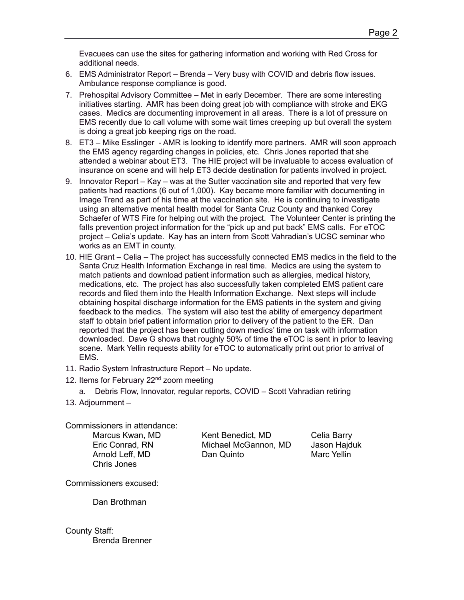Evacuees can use the sites for gathering information and working with Red Cross for additional needs.

- 6. EMS Administrator Report Brenda Very busy with COVID and debris flow issues. Ambulance response compliance is good.
- 7. Prehospital Advisory Committee Met in early December. There are some interesting initiatives starting. AMR has been doing great job with compliance with stroke and EKG cases. Medics are documenting improvement in all areas. There is a lot of pressure on EMS recently due to call volume with some wait times creeping up but overall the system is doing a great job keeping rigs on the road.
- 8. ET3 Mike Esslinger AMR is looking to identify more partners. AMR will soon approach the EMS agency regarding changes in policies, etc. Chris Jones reported that she attended a webinar about ET3. The HIE project will be invaluable to access evaluation of insurance on scene and will help ET3 decide destination for patients involved in project.
- 9. Innovator Report Kay was at the Sutter vaccination site and reported that very few patients had reactions (6 out of 1,000). Kay became more familiar with documenting in Image Trend as part of his time at the vaccination site. He is continuing to investigate using an alternative mental health model for Santa Cruz County and thanked Corey Schaefer of WTS Fire for helping out with the project. The Volunteer Center is printing the falls prevention project information for the "pick up and put back" EMS calls. For eTOC project – Celia's update. Kay has an intern from Scott Vahradian's UCSC seminar who works as an EMT in county.
- 10. HIE Grant Celia The project has successfully connected EMS medics in the field to the Santa Cruz Health Information Exchange in real time. Medics are using the system to match patients and download patient information such as allergies, medical history, medications, etc. The project has also successfully taken completed EMS patient care records and filed them into the Health Information Exchange. Next steps will include obtaining hospital discharge information for the EMS patients in the system and giving feedback to the medics. The system will also test the ability of emergency department staff to obtain brief patient information prior to delivery of the patient to the ER. Dan reported that the project has been cutting down medics' time on task with information downloaded. Dave G shows that roughly 50% of time the eTOC is sent in prior to leaving scene. Mark Yellin requests ability for eTOC to automatically print out prior to arrival of EMS.
- 11. Radio System Infrastructure Report No update.
- 12. Items for February 22<sup>nd</sup> zoom meeting
	- a. Debris Flow, Innovator, regular reports, COVID Scott Vahradian retiring
- 13. Adjournment –

Commissioners in attendance:

Chris Jones

Marcus Kwan, MD Kent Benedict, MD Celia Barry Eric Conrad, RN Michael McGannon, MD Jason Hajduk Arnold Leff, MD Dan Quinto Marc Yellin

Commissioners excused:

Dan Brothman

County Staff: Brenda Brenner